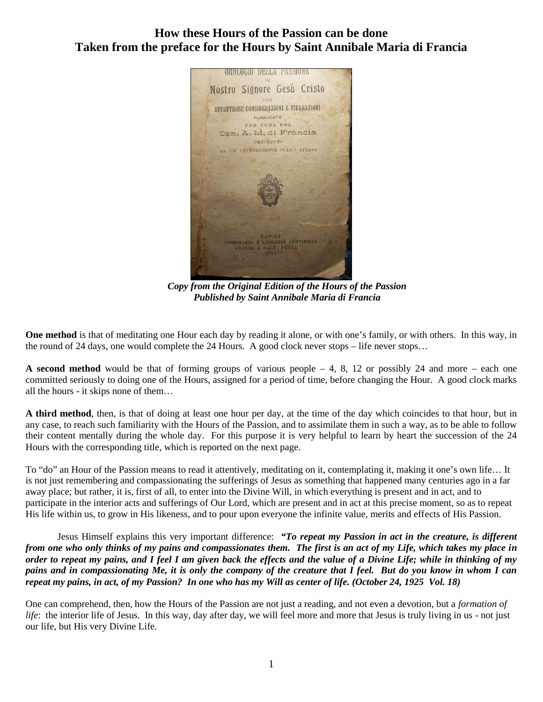## **How these Hours of the Passion can be done Taken from the preface for the Hours by Saint Annibale Maria di Francia**



*Copy from the Original Edition of the Hours of the Passion Published by Saint Annibale Maria di Francia*

**One method** is that of meditating one Hour each day by reading it alone, or with one's family, or with others. In this way, in the round of 24 days, one would complete the 24 Hours. A good clock never stops – life never stops…

**A second method** would be that of forming groups of various people – 4, 8, 12 or possibly 24 and more – each one committed seriously to doing one of the Hours, assigned for a period of time, before changing the Hour. A good clock marks all the hours - it skips none of them…

**A third method**, then, is that of doing at least one hour per day, at the time of the day which coincides to that hour, but in any case, to reach such familiarity with the Hours of the Passion, and to assimilate them in such a way, as to be able to follow their content mentally during the whole day. For this purpose it is very helpful to learn by heart the succession of the 24 Hours with the corresponding title, which is reported on the next page.

To "do" an Hour of the Passion means to read it attentively, meditating on it, contemplating it, making it one's own life… It is not just remembering and compassionating the sufferings of Jesus as something that happened many centuries ago in a far away place; but rather, it is, first of all, to enter into the Divine Will, in which everything is present and in act, and to participate in the interior acts and sufferings of Our Lord, which are present and in act at this precise moment, so as to repeat His life within us, to grow in His likeness, and to pour upon everyone the infinite value, merits and effects of His Passion.

Jesus Himself explains this very important difference: *"To repeat my Passion in act in the creature, is different from one who only thinks of my pains and compassionates them. The first is an act of my Life, which takes my place in order to repeat my pains, and I feel I am given back the effects and the value of a Divine Life; while in thinking of my pains and in compassionating Me, it is only the company of the creature that I feel. But do you know in whom I can repeat my pains, in act, of my Passion? In one who has my Will as center of life. (October 24, 1925 Vol. 18)*

One can comprehend, then, how the Hours of the Passion are not just a reading, and not even a devotion, but a *formation of life*: the interior life of Jesus. In this way, day after day, we will feel more and more that Jesus is truly living in us - not just our life, but His very Divine Life.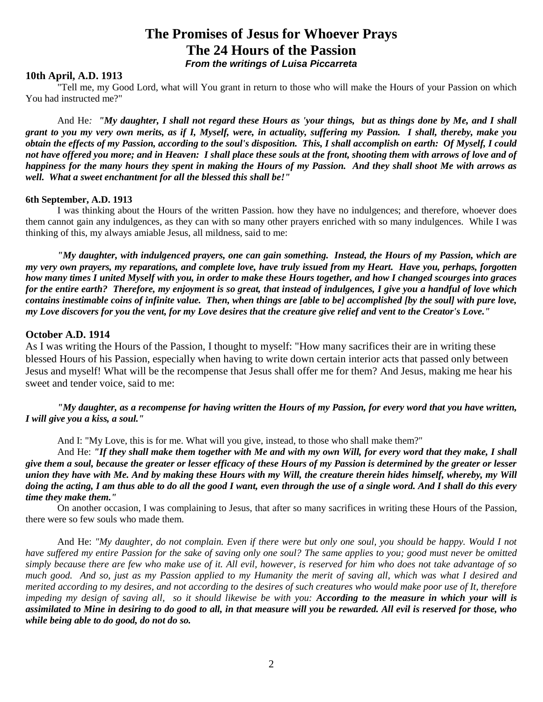# **The Promises of Jesus for Whoever Prays The 24 Hours of the Passion** *From the writings of Luisa Piccarreta*

## **10th April, A.D. 1913**

"Tell me, my Good Lord, what will You grant in return to those who will make the Hours of your Passion on which You had instructed me?"

And He*: "My daughter, I shall not regard these Hours as 'your things, but as things done by Me, and I shall grant to you my very own merits, as if I, Myself, were, in actuality, suffering my Passion. I shall, thereby, make you obtain the effects of my Passion, according to the soul's disposition. This, I shall accomplish on earth: Of Myself, I could not have offered you more; and in Heaven: I shall place these souls at the front, shooting them with arrows of love and of happiness for the many hours they spent in making the Hours of my Passion. And they shall shoot Me with arrows as well. What a sweet enchantment for all the blessed this shall be!"*

## **6th September, A.D. 1913**

I was thinking about the Hours of the written Passion. how they have no indulgences; and therefore, whoever does them cannot gain any indulgences, as they can with so many other prayers enriched with so many indulgences. While I was thinking of this, my always amiable Jesus, all mildness, said to me:

*"My daughter, with indulgenced prayers, one can gain something. Instead, the Hours of my Passion, which are my very own prayers, my reparations, and complete love, have truly issued from my Heart. Have you, perhaps, forgotten how many times I united Myself with you, in order to make these Hours together, and how I changed scourges into graces for the entire earth? Therefore, my enjoyment is so great, that instead of indulgences, I give you a handful of love which contains inestimable coins of infinite value. Then, when things are [able to be] accomplished [by the soul] with pure love, my Love discovers for you the vent, for my Love desires that the creature give relief and vent to the Creator's Love."*

### **October A.D. 1914**

As I was writing the Hours of the Passion, I thought to myself: "How many sacrifices their are in writing these blessed Hours of his Passion, especially when having to write down certain interior acts that passed only between Jesus and myself! What will be the recompense that Jesus shall offer me for them? And Jesus, making me hear his sweet and tender voice, said to me:

*"My daughter, as a recompense for having written the Hours of my Passion, for every word that you have written, I will give you a kiss, a soul."*

And I: "My Love, this is for me. What will you give, instead, to those who shall make them?"

And He: *"If they shall make them together with Me and with my own Will, for every word that they make, I shall give them a soul, because the greater or lesser efficacy of these Hours of my Passion is determined by the greater or lesser union they have with Me. And by making these Hours with my Will, the creature therein hides himself, whereby, my Will doing the acting, I am thus able to do all the good I want, even through the use of a single word. And I shall do this every time they make them."*

On another occasion, I was complaining to Jesus, that after so many sacrifices in writing these Hours of the Passion, there were so few souls who made them.

And He: *"My daughter, do not complain. Even if there were but only one soul, you should be happy. Would I not have suffered my entire Passion for the sake of saving only one soul? The same applies to you; good must never be omitted simply because there are few who make use of it. All evil, however, is reserved for him who does not take advantage of so much good. And so, just as my Passion applied to my Humanity the merit of saving all, which was what I desired and merited according to my desires, and not according to the desires of such creatures who would make poor use of It, therefore impeding my design of saving all, so it should likewise be with you: According to the measure in which your will is assimilated to Mine in desiring to do good to all, in that measure will you be rewarded. All evil is reserved for those, who while being able to do good, do not do so.*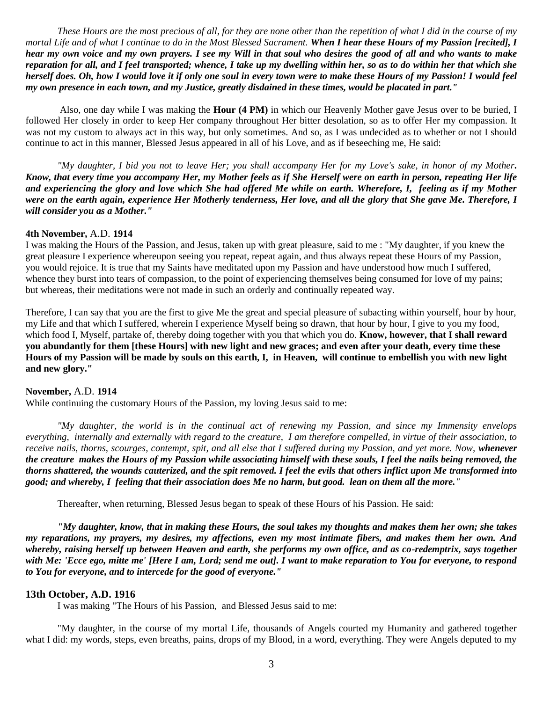*These Hours are the most precious of all, for they are none other than the repetition of what I did in the course of my mortal Life and of what I continue to do in the Most Blessed Sacrament. When I hear these Hours of my Passion [recited], I hear my own voice and my own prayers. I see my Will in that soul who desires the good of all and who wants to make reparation for all, and I feel transported; whence, I take up my dwelling within her, so as to do within her that which she herself does. Oh, how I would love it if only one soul in every town were to make these Hours of my Passion! I would feel my own presence in each town, and my Justice, greatly disdained in these times, would be placated in part."*

Also, one day while I was making the **Hour (4 PM)** in which our Heavenly Mother gave Jesus over to be buried, I followed Her closely in order to keep Her company throughout Her bitter desolation, so as to offer Her my compassion. It was not my custom to always act in this way, but only sometimes. And so, as I was undecided as to whether or not I should continue to act in this manner, Blessed Jesus appeared in all of his Love, and as if beseeching me, He said:

*"My daughter, I bid you not to leave Her; you shall accompany Her for my Love's sake, in honor of my Mother. Know, that every time you accompany Her, my Mother feels as if She Herself were on earth in person, repeating Her life and experiencing the glory and love which She had offered Me while on earth. Wherefore, I, feeling as if my Mother were on the earth again, experience Her Motherly tenderness, Her love, and all the glory that She gave Me. Therefore, I will consider you as a Mother."*

## **4th November,** A.D. **1914**

I was making the Hours of the Passion, and Jesus, taken up with great pleasure, said to me : "My daughter, if you knew the great pleasure I experience whereupon seeing you repeat, repeat again, and thus always repeat these Hours of my Passion, you would rejoice. It is true that my Saints have meditated upon my Passion and have understood how much I suffered, whence they burst into tears of compassion, to the point of experiencing themselves being consumed for love of my pains; but whereas, their meditations were not made in such an orderly and continually repeated way.

Therefore, I can say that you are the first to give Me the great and special pleasure of subacting within yourself, hour by hour, my Life and that which I suffered, wherein I experience Myself being so drawn, that hour by hour, I give to you my food, which food I, Myself, partake of, thereby doing together with you that which you do. **Know, however, that I shall reward you abundantly for them [these Hours] with new light and new graces; and even after your death, every time these Hours of my Passion will be made by souls on this earth, I, in Heaven, will continue to embellish you with new light and new glory."**

#### **November,** A.D. **1914**

While continuing the customary Hours of the Passion, my loving Jesus said to me:

*"My daughter, the world is in the continual act of renewing my Passion, and since my Immensity envelops everything, internally and externally with regard to the creature, I am therefore compelled, in virtue of their association, to receive nails, thorns, scourges, contempt, spit, and all else that I suffered during my Passion, and yet more. Now, whenever the creature makes the Hours of my Passion while associating himself with these souls, I feel the nails being removed, the thorns shattered, the wounds cauterized, and the spit removed. I feel the evils that others inflict upon Me transformed into good; and whereby, I feeling that their association does Me no harm, but good. lean on them all the more."*

Thereafter, when returning, Blessed Jesus began to speak of these Hours of his Passion. He said:

*"My daughter, know, that in making these Hours, the soul takes my thoughts and makes them her own; she takes my reparations, my prayers, my desires, my affections, even my most intimate fibers, and makes them her own. And whereby, raising herself up between Heaven and earth, she performs my own office, and as co-redemptrix, says together with Me: 'Ecce ego, mitte me' [Here I am, Lord; send me out]. I want to make reparation to You for everyone, to respond to You for everyone, and to intercede for the good of everyone."*

## **13th October, A.D. 1916**

I was making "The Hours of his Passion, and Blessed Jesus said to me:

"My daughter, in the course of my mortal Life, thousands of Angels courted my Humanity and gathered together what I did: my words, steps, even breaths, pains, drops of my Blood, in a word, everything. They were Angels deputed to my